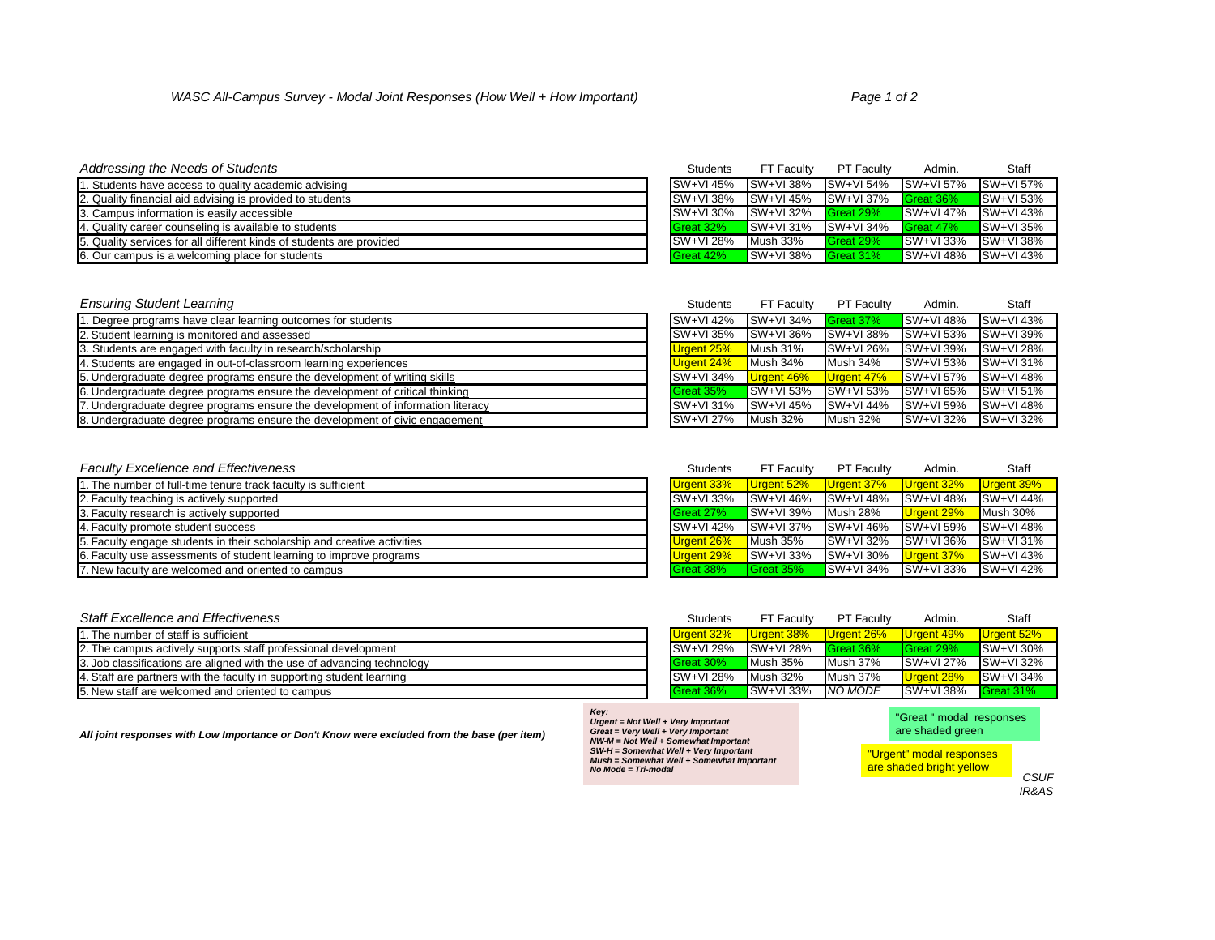| <b>Addressing the Needs of Students</b>                              | <b>Students</b>           | FT Faculty                                        | <b>PT Faculty</b> | Admin.                   | <b>Staff</b>               |
|----------------------------------------------------------------------|---------------------------|---------------------------------------------------|-------------------|--------------------------|----------------------------|
| . Students have access to quality academic advising                  | SW+VI 45%                 | SW+VI 38% SW+VI 54% SW+VI 57%                     |                   |                          | SW+VI 57%                  |
| 2. Quality financial aid advising is provided to students            | $\textsf{ISW+VI}$ 38%     | $\blacksquare$ SW+VI 45% $\blacksquare$ SW+VI 37% |                   | Great 36%                | $\sqrt{\text{SW+VI} 53\%}$ |
| 3. Campus information is easily accessible                           | $\textsf{ISW+VI}$ 30%     | SW+VI 32%                                         | Great 29%         | $\blacksquare$ SW+VI 47% | SW+VI 43%                  |
| 4. Quality career counseling is available to students                | Great 32%                 |                                                   |                   | Great 47%                | $\sqrt{\text{SW+VI} 35\%}$ |
| 5. Quality services for all different kinds of students are provided | $\sqrt{\text{SW+VI}}$ 28% | Mush 33%                                          | Great 29%         | $\blacksquare$ SW+VI 33% | <b>SW+VI 38%</b>           |
| 6. Our campus is a welcoming place for students                      | Great 42%                 | $\blacksquare$ SW+VI 38%                          | Great 31%         | $\blacksquare$ SW+VI 48% | SW+VI 43%                  |

| <b>Ensuring Student Learning</b>                                               | <b>Students</b>   | <b>FT Faculty</b>          | <b>PT Faculty</b> | Admin.                     | Staff            |
|--------------------------------------------------------------------------------|-------------------|----------------------------|-------------------|----------------------------|------------------|
| . Degree programs have clear learning outcomes for students                    | SW+VI 42%         | $SW+VI$ 34%                | Great 37%         | $\blacksquare$ SW+VI 48%   | SW+VI 43%        |
| 2. Student learning is monitored and assessed                                  | <b>SW+VI 35%</b>  | <b>SW+VI 36%</b>           | SW+VI 38%         | SW+VI 53%                  | <b>SW+VI 39%</b> |
| 3. Students are engaged with faculty in research/scholarship                   | Urgent 25%        | Mush 31%                   | <b>SW+VI 26%</b>  | SW+VI 39%                  | SW+VI 28%        |
| 4. Students are engaged in out-of-classroom learning experiences               | <b>Urgent 24%</b> | Mush 34%                   | Mush 34%          | $\sqrt{\text{SW+VI} 53\%}$ | <b>SW+VI 31%</b> |
| 5. Undergraduate degree programs ensure the development of writing skills      | SW+VI 34%         | <b>Urgent 46%</b>          | Urgent 47%        | $\blacksquare$ SW+VI 57%   | SW+VI 48%        |
| 6. Undergraduate degree programs ensure the development of critical thinking   | Great 35%         | $\sqrt{\text{SW+VI} 53\%}$ | SW+VI 53%         | <b>SW+VI 65%</b>           | <b>SW+VI 51%</b> |
| . Undergraduate degree programs ensure the development of information literacy | <b>SW+VI 31%</b>  | $SW+VI$ 45%                | $SW+VI$ 44%       | <b>SW+VI 59%</b>           | $SW+VI$ 48%      |
| 8. Undergraduate degree programs ensure the development of civic engagement    | <b>SW+VI 27%</b>  | Mush 32%                   | <b>Mush 32%</b>   | $SW+VI$ 32%                | $SW+VI$ 32%      |

| <b>Faculty Excellence and Effectiveness</b>                             | <b>Students</b>       | <b>FT Faculty</b>        | <b>PT Faculty</b>         | Admin.           | Staff                    |
|-------------------------------------------------------------------------|-----------------------|--------------------------|---------------------------|------------------|--------------------------|
| 1. The number of full-time tenure track faculty is sufficient           | Urgent 33%            | Urgent 52%               | Urgent 37%                | Urgent 32%       | Urgent 39%               |
| 2. Faculty teaching is actively supported                               | $\textsf{ISW+VI}$ 33% | <b>SW+VI46%</b>          | SW+VI 48%                 | <b>SW+VI48%</b>  | SW+VI 44%                |
| 3. Faculty research is actively supported                               | Great 27%             | $\blacksquare$ SW+VI 39% | <b>Mush 28%</b>           | Urgent 29%       | Mush 30%                 |
| 4. Faculty promote student success                                      | $\textsf{ISW+VI}$ 42% | <b>SW+VI 37%</b>         | SW+VI 46%                 | <b>SW+VI 59%</b> | SW+VI 48%                |
| 5. Faculty engage students in their scholarship and creative activities | <b>Urgent 26%</b>     | Mush 35%                 | <b>SW+VI 32%</b>          | <b>SW+VI 36%</b> | SW+VI 31%                |
| 6. Faculty use assessments of student learning to improve programs      | <b>Urgent 29%</b>     | $\blacksquare$ SW+VI 33% | <b>SW+VI 30%</b>          | Urgent 37%       | $\blacksquare$ SW+VI 43% |
| 7. New faculty are welcomed and oriented to campus                      | Great 38%             | <b>Great 35%</b>         | $\sqrt{\text{SW+VI}}$ 34% | SW+VI 33%        | SW+VI 42%                |

| <b>Staff Excellence and Effectiveness</b>                               | <b>Students</b>       | <b>FT Faculty</b>        | <b>PT Faculty</b> | Admin.           | <b>Staff</b>              |
|-------------------------------------------------------------------------|-----------------------|--------------------------|-------------------|------------------|---------------------------|
| 1. The number of staff is sufficient                                    | Urgent 32%            | Urgent 38%               | Urgent 26%        | Urgent 49%       | Urgent 52%                |
| 2. The campus actively supports staff professional development          | $\textsf{ISW+VI}$ 29% | SW+VI 28%                | Great 36%         | <b>Great 29%</b> | $\blacksquare$ SW+VI 30%  |
| 3. Job classifications are aligned with the use of advancing technology | <b>I</b> Great 30%    | Mush 35%                 | Mush 37%          | SW+VI 27%        | $\textsf{SW+VI}$ 32%      |
| 4. Staff are partners with the faculty in supporting student learning   | $\textsf{ISW+VI}$ 28% | Mush 32%                 | <b>Mush 37%</b>   | Urgent 28%       | $\sqrt{\text{SW+VI}}$ 34% |
| 5. New staff are welcomed and oriented to campus                        | Great 36%             | $\blacksquare$ SW+VI 33% | NO MODE           | <b>SW+VI 38%</b> | Great 31%                 |

*CSUF IR&AS*

*All joint responses with Low Importance or Don't Know were excluded from the base (per item)*

*Key: Urgent = Not Well + Very Important Great = Very Well + Very Important NW-M = Not Well + Somewhat Important SW-H = Somewhat Well + Very Important Mush = Somewhat Well + Somewhat Important No Mode = Tri-modal*

"Great " modal responses are shaded green

"Urgent" modal responses are shaded bright yellow